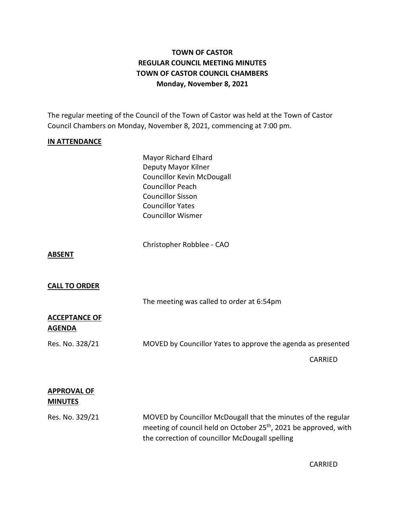# **TOWN OF CASTOR REGULAR COUNCIL MEETING MINUTES TOWN OF CASTOR COUNCIL CHAMBERS Monday, November 8, 2021**

The regular meeting of the Council of the Town of Castor was held at the Town of Castor Council Chambers on Monday, November 8, 2021, commencing at 7:00 pm.

## **IN ATTENDANCE**

Mayor Richard Elhard Deputy Mayor Kilner Councillor Kevin McDougall Councillor Peach Councillor Sisson Councillor Yates Councillor Wismer

Christopher Robblee - CAO

#### **ABSENT**

## **CALL TO ORDER**

The meeting was called to order at 6:54pm

## **ACCEPTANCE OF AGENDA**

Res. No. 328/21 MOVED by Councillor Yates to approve the agenda as presented

CARRIED

# **APPROVAL OF MINUTES**

Res. No. 329/21 MOVED by Councillor McDougall that the minutes of the regular meeting of council held on October 25<sup>th</sup>, 2021 be approved, with the correction of councillor McDougall spelling

CARRIED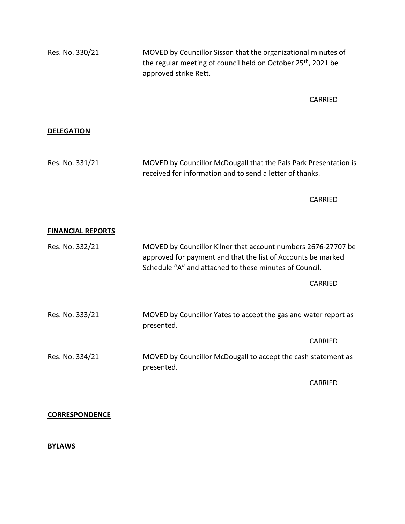Res. No. 330/21 MOVED by Councillor Sisson that the organizational minutes of the regular meeting of council held on October 25<sup>th</sup>, 2021 be approved strike Rett.

CARRIED

#### **DELEGATION**

Res. No. 331/21 MOVED by Councillor McDougall that the Pals Park Presentation is received for information and to send a letter of thanks.

CARRIED

### **FINANCIAL REPORTS**

| Res. No. 332/21 | MOVED by Councillor Kilner that account numbers 2676-27707 be<br>approved for payment and that the list of Accounts be marked<br>Schedule "A" and attached to these minutes of Council. |         |
|-----------------|-----------------------------------------------------------------------------------------------------------------------------------------------------------------------------------------|---------|
|                 |                                                                                                                                                                                         | CARRIED |
| Res. No. 333/21 | MOVED by Councillor Yates to accept the gas and water report as<br>presented.                                                                                                           |         |
|                 |                                                                                                                                                                                         | CARRIED |
| Res. No. 334/21 | MOVED by Councillor McDougall to accept the cash statement as<br>presented.                                                                                                             |         |

CARRIED

#### **CORRESPONDENCE**

#### **BYLAWS**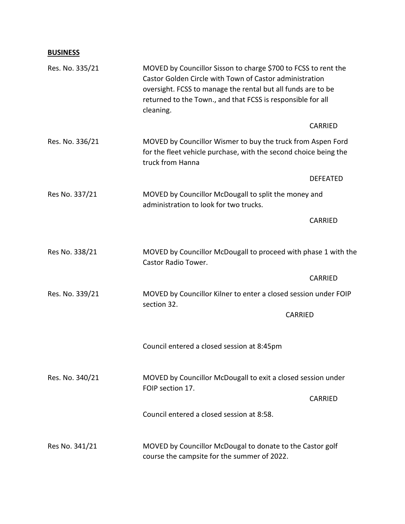# **BUSINESS**

| Res. No. 335/21 | MOVED by Councillor Sisson to charge \$700 to FCSS to rent the<br>Castor Golden Circle with Town of Castor administration<br>oversight. FCSS to manage the rental but all funds are to be<br>returned to the Town., and that FCSS is responsible for all<br>cleaning. |  |
|-----------------|-----------------------------------------------------------------------------------------------------------------------------------------------------------------------------------------------------------------------------------------------------------------------|--|
|                 | CARRIED                                                                                                                                                                                                                                                               |  |
| Res. No. 336/21 | MOVED by Councillor Wismer to buy the truck from Aspen Ford<br>for the fleet vehicle purchase, with the second choice being the<br>truck from Hanna                                                                                                                   |  |
|                 | <b>DEFEATED</b>                                                                                                                                                                                                                                                       |  |
| Res No. 337/21  | MOVED by Councillor McDougall to split the money and<br>administration to look for two trucks.                                                                                                                                                                        |  |
|                 | CARRIED                                                                                                                                                                                                                                                               |  |
| Res No. 338/21  | MOVED by Councillor McDougall to proceed with phase 1 with the<br>Castor Radio Tower.                                                                                                                                                                                 |  |
|                 | CARRIED                                                                                                                                                                                                                                                               |  |
| Res. No. 339/21 | MOVED by Councillor Kilner to enter a closed session under FOIP<br>section 32.                                                                                                                                                                                        |  |
|                 | <b>CARRIED</b>                                                                                                                                                                                                                                                        |  |
|                 | Council entered a closed session at 8:45pm                                                                                                                                                                                                                            |  |
| Res. No. 340/21 | MOVED by Councillor McDougall to exit a closed session under<br>FOIP section 17.                                                                                                                                                                                      |  |
|                 | <b>CARRIED</b>                                                                                                                                                                                                                                                        |  |
|                 | Council entered a closed session at 8:58.                                                                                                                                                                                                                             |  |
| Res No. 341/21  | MOVED by Councillor McDougal to donate to the Castor golf<br>course the campsite for the summer of 2022.                                                                                                                                                              |  |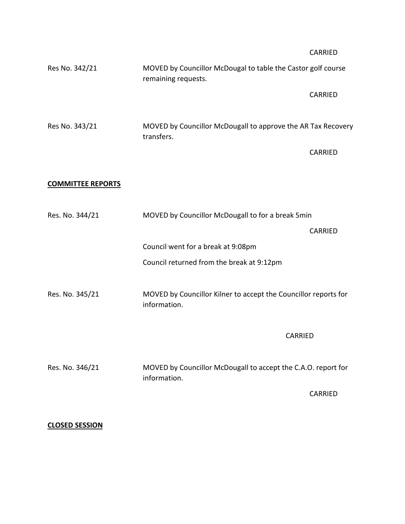|                          |                                                                                     | CARRIED        |
|--------------------------|-------------------------------------------------------------------------------------|----------------|
| Res No. 342/21           | MOVED by Councillor McDougal to table the Castor golf course<br>remaining requests. |                |
|                          |                                                                                     | CARRIED        |
| Res No. 343/21           | MOVED by Councillor McDougall to approve the AR Tax Recovery<br>transfers.          |                |
|                          |                                                                                     | CARRIED        |
| <b>COMMITTEE REPORTS</b> |                                                                                     |                |
| Res. No. 344/21          | MOVED by Councillor McDougall to for a break 5min                                   |                |
|                          |                                                                                     | CARRIED        |
|                          | Council went for a break at 9:08pm                                                  |                |
|                          | Council returned from the break at 9:12pm                                           |                |
| Res. No. 345/21          | MOVED by Councillor Kilner to accept the Councillor reports for<br>information.     |                |
|                          | <b>CARRIED</b>                                                                      |                |
| Res. No. 346/21          | MOVED by Councillor McDougall to accept the C.A.O. report for<br>information.       |                |
|                          |                                                                                     | <b>CARRIED</b> |

# **CLOSED SESSION**